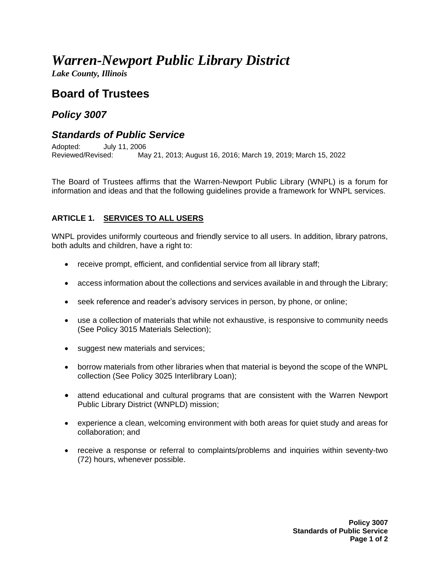# *Warren-Newport Public Library District*

*Lake County, Illinois*

# **Board of Trustees**

### *Policy 3007*

## *Standards of Public Service*

Adopted: July 11, 2006<br>Reviewed/Revised: Ma May 21, 2013; August 16, 2016; March 19, 2019; March 15, 2022

The Board of Trustees affirms that the Warren-Newport Public Library (WNPL) is a forum for information and ideas and that the following guidelines provide a framework for WNPL services.

#### **ARTICLE 1. SERVICES TO ALL USERS**

WNPL provides uniformly courteous and friendly service to all users. In addition, library patrons, both adults and children, have a right to:

- receive prompt, efficient, and confidential service from all library staff;
- access information about the collections and services available in and through the Library;
- seek reference and reader's advisory services in person, by phone, or online;
- use a collection of materials that while not exhaustive, is responsive to community needs (See Policy 3015 Materials Selection);
- suggest new materials and services;
- borrow materials from other libraries when that material is beyond the scope of the WNPL collection (See Policy 3025 Interlibrary Loan);
- attend educational and cultural programs that are consistent with the Warren Newport Public Library District (WNPLD) mission;
- experience a clean, welcoming environment with both areas for quiet study and areas for collaboration; and
- receive a response or referral to complaints/problems and inquiries within seventy-two (72) hours, whenever possible.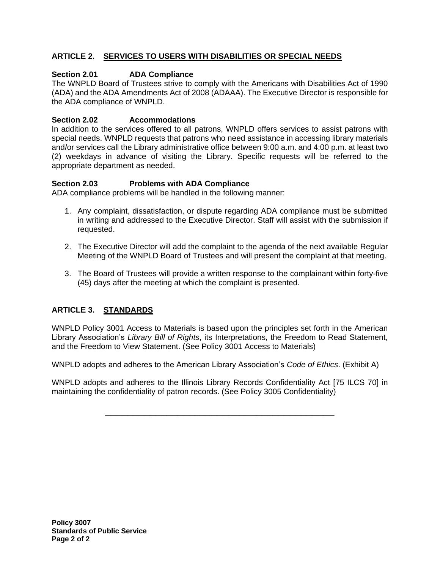#### **ARTICLE 2. SERVICES TO USERS WITH DISABILITIES OR SPECIAL NEEDS**

#### **Section 2.01 ADA Compliance**

The WNPLD Board of Trustees strive to comply with the Americans with Disabilities Act of 1990 (ADA) and the ADA Amendments Act of 2008 (ADAAA). The Executive Director is responsible for the ADA compliance of WNPLD.

#### **Section 2.02 Accommodations**

In addition to the services offered to all patrons, WNPLD offers services to assist patrons with special needs. WNPLD requests that patrons who need assistance in accessing library materials and/or services call the Library administrative office between 9:00 a.m. and 4:00 p.m. at least two (2) weekdays in advance of visiting the Library. Specific requests will be referred to the appropriate department as needed.

#### **Section 2.03 Problems with ADA Compliance**

ADA compliance problems will be handled in the following manner:

- 1. Any complaint, dissatisfaction, or dispute regarding ADA compliance must be submitted in writing and addressed to the Executive Director. Staff will assist with the submission if requested.
- 2. The Executive Director will add the complaint to the agenda of the next available Regular Meeting of the WNPLD Board of Trustees and will present the complaint at that meeting.
- 3. The Board of Trustees will provide a written response to the complainant within forty-five (45) days after the meeting at which the complaint is presented.

#### **ARTICLE 3. STANDARDS**

WNPLD Policy 3001 Access to Materials is based upon the principles set forth in the American Library Association's *Library Bill of Rights*, its Interpretations, the Freedom to Read Statement, and the Freedom to View Statement. (See Policy 3001 Access to Materials)

WNPLD adopts and adheres to the American Library Association's *Code of Ethics*. (Exhibit A)

WNPLD adopts and adheres to the Illinois Library Records Confidentiality Act [75 ILCS 70] in maintaining the confidentiality of patron records. (See Policy 3005 Confidentiality)

**\_\_\_\_\_\_\_\_\_\_\_\_\_\_\_\_\_\_\_\_\_\_\_\_\_\_\_\_\_\_\_\_\_\_\_\_\_\_\_\_\_**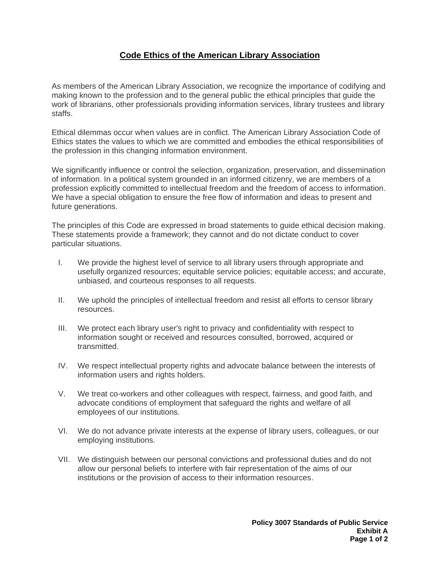#### **Code Ethics of the American Library Association**

As members of the American Library Association, we recognize the importance of codifying and making known to the profession and to the general public the ethical principles that guide the work of librarians, other professionals providing information services, library trustees and library staffs.

Ethical dilemmas occur when values are in conflict. The American Library Association Code of Ethics states the values to which we are committed and embodies the ethical responsibilities of the profession in this changing information environment.

We significantly influence or control the selection, organization, preservation, and dissemination of information. In a political system grounded in an informed citizenry, we are members of a profession explicitly committed to intellectual freedom and the freedom of access to information. We have a special obligation to ensure the free flow of information and ideas to present and future generations.

The principles of this Code are expressed in broad statements to guide ethical decision making. These statements provide a framework; they cannot and do not dictate conduct to cover particular situations.

- I. We provide the highest level of service to all library users through appropriate and usefully organized resources; equitable service policies; equitable access; and accurate, unbiased, and courteous responses to all requests.
- II. We uphold the principles of intellectual freedom and resist all efforts to censor library resources.
- III. We protect each library user's right to privacy and confidentiality with respect to information sought or received and resources consulted, borrowed, acquired or transmitted.
- IV. We respect intellectual property rights and advocate balance between the interests of information users and rights holders.
- V. We treat co-workers and other colleagues with respect, fairness, and good faith, and advocate conditions of employment that safeguard the rights and welfare of all employees of our institutions.
- VI. We do not advance private interests at the expense of library users, colleagues, or our employing institutions.
- VII. We distinguish between our personal convictions and professional duties and do not allow our personal beliefs to interfere with fair representation of the aims of our institutions or the provision of access to their information resources.